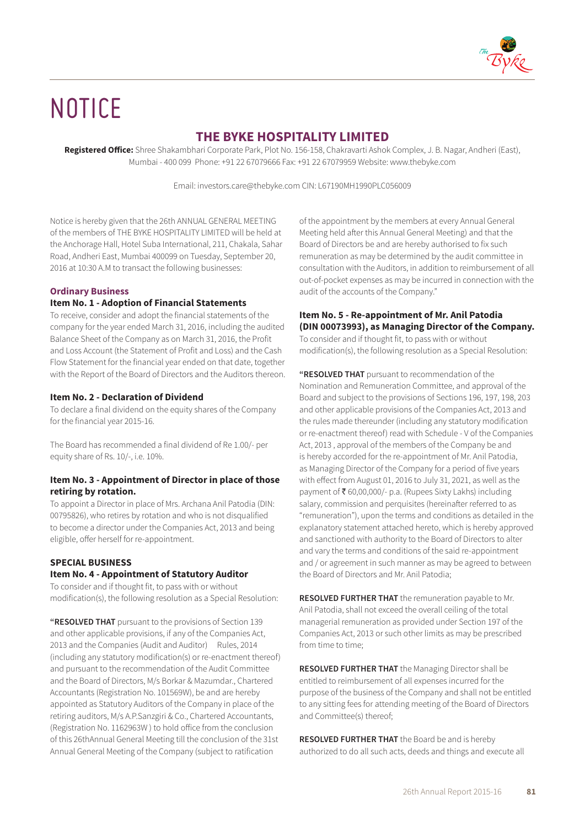

# **NOTICE**

# **THE BYKE HOSPITALITY LIMITED**

**Registered Office:** Shree Shakambhari Corporate Park, Plot No. 156-158, Chakravarti Ashok Complex, J. B. Nagar, Andheri (East), Mumbai - 400 099 Phone: +91 22 67079666 Fax: +91 22 67079959 Website: www.thebyke.com

Email: investors.care@thebyke.com CIN: L67190MH1990PLC056009

Notice is hereby given that the 26th ANNUAL GENERAL MEETING of the members of THE BYKE HOSPITALITY LIMITED will be held at the Anchorage Hall, Hotel Suba International, 211, Chakala, Sahar Road, Andheri East, Mumbai 400099 on Tuesday, September 20, 2016 at 10:30 A.M to transact the following businesses:

# **Ordinary Business**

# **Item No. 1 - Adoption of Financial Statements**

To receive, consider and adopt the financial statements of the company for the year ended March 31, 2016, including the audited Balance Sheet of the Company as on March 31, 2016, the Profit and Loss Account (the Statement of Profit and Loss) and the Cash Flow Statement for the financial year ended on that date, together with the Report of the Board of Directors and the Auditors thereon.

## **Item No. 2 - Declaration of Dividend**

To declare a final dividend on the equity shares of the Company for the financial year 2015-16.

The Board has recommended a final dividend of Re 1.00/- per equity share of Rs. 10/-, i.e. 10%.

## **Item No. 3 - Appointment of Director in place of those retiring by rotation.**

To appoint a Director in place of Mrs. Archana Anil Patodia (DIN: 00795826), who retires by rotation and who is not disqualified to become a director under the Companies Act, 2013 and being eligible, offer herself for re-appointment.

## **SPECIAL BUSINESS**

# **Item No. 4 - Appointment of Statutory Auditor**

To consider and if thought fit, to pass with or without modification(s), the following resolution as a Special Resolution:

**"RESOLVED THAT** pursuant to the provisions of Section 139 and other applicable provisions, if any of the Companies Act, 2013 and the Companies (Audit and Auditor) Rules, 2014 (including any statutory modification(s) or re-enactment thereof) and pursuant to the recommendation of the Audit Committee and the Board of Directors, M/s Borkar & Mazumdar., Chartered Accountants (Registration No. 101569W), be and are hereby appointed as Statutory Auditors of the Company in place of the retiring auditors, M/s A.P.Sanzgiri & Co., Chartered Accountants, (Registration No. 1162963W ) to hold office from the conclusion of this 26thAnnual General Meeting till the conclusion of the 31st Annual General Meeting of the Company (subject to ratification

of the appointment by the members at every Annual General Meeting held after this Annual General Meeting) and that the Board of Directors be and are hereby authorised to fix such remuneration as may be determined by the audit committee in consultation with the Auditors, in addition to reimbursement of all out-of-pocket expenses as may be incurred in connection with the audit of the accounts of the Company."

# **Item No. 5 - Re-appointment of Mr. Anil Patodia (DIN 00073993), as Managing Director of the Company.**

To consider and if thought fit, to pass with or without modification(s), the following resolution as a Special Resolution:

**"RESOLVED THAT** pursuant to recommendation of the Nomination and Remuneration Committee, and approval of the Board and subject to the provisions of Sections 196, 197, 198, 203 and other applicable provisions of the Companies Act, 2013 and the rules made thereunder (including any statutory modification or re-enactment thereof) read with Schedule - V of the Companies Act, 2013 , approval of the members of the Company be and is hereby accorded for the re-appointment of Mr. Anil Patodia, as Managing Director of the Company for a period of five years with effect from August 01, 2016 to July 31, 2021, as well as the payment of ₹60,00,000/- p.a. (Rupees Sixty Lakhs) including salary, commission and perquisites (hereinafter referred to as "remuneration"), upon the terms and conditions as detailed in the explanatory statement attached hereto, which is hereby approved and sanctioned with authority to the Board of Directors to alter and vary the terms and conditions of the said re-appointment and / or agreement in such manner as may be agreed to between the Board of Directors and Mr. Anil Patodia;

**RESOLVED FURTHER THAT** the remuneration payable to Mr. Anil Patodia, shall not exceed the overall ceiling of the total managerial remuneration as provided under Section 197 of the Companies Act, 2013 or such other limits as may be prescribed from time to time:

**RESOLVED FURTHER THAT** the Managing Director shall be entitled to reimbursement of all expenses incurred for the purpose of the business of the Company and shall not be entitled to any sitting fees for attending meeting of the Board of Directors and Committee(s) thereof;

**RESOLVED FURTHER THAT** the Board be and is hereby authorized to do all such acts, deeds and things and execute all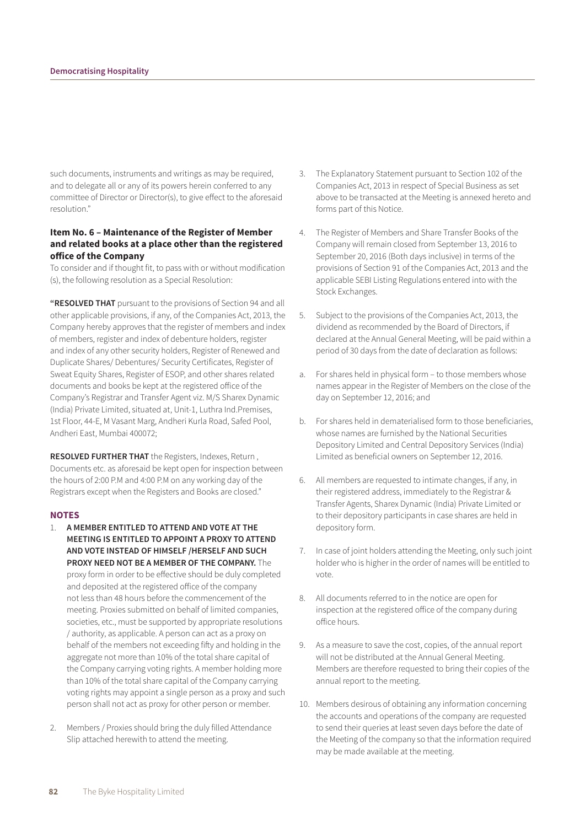such documents, instruments and writings as may be required, and to delegate all or any of its powers herein conferred to any committee of Director or Director(s), to give effect to the aforesaid resolution."

## **Item No. 6 – Maintenance of the Register of Member and related books at a place other than the registered office of the Company**

To consider and if thought fit, to pass with or without modification (s), the following resolution as a Special Resolution:

**"RESOLVED THAT** pursuant to the provisions of Section 94 and all other applicable provisions, if any, of the Companies Act, 2013, the Company hereby approves that the register of members and index of members, register and index of debenture holders, register and index of any other security holders, Register of Renewed and Duplicate Shares/ Debentures/ Security Certificates, Register of Sweat Equity Shares, Register of ESOP, and other shares related documents and books be kept at the registered office of the Company's Registrar and Transfer Agent viz. M/S Sharex Dynamic (India) Private Limited, situated at, Unit-1, Luthra Ind.Premises, 1st Floor, 44-E, M Vasant Marg, Andheri Kurla Road, Safed Pool, Andheri East, Mumbai 400072;

**RESOLVED FURTHER THAT** the Registers, Indexes, Return , Documents etc. as aforesaid be kept open for inspection between the hours of 2:00 P.M and 4:00 P.M on any working day of the Registrars except when the Registers and Books are closed."

#### **NOTES**

- 1. **A MEMBER ENTITLED TO ATTEND AND VOTE AT THE MEETING IS ENTITLED TO APPOINT A PROXY TO ATTEND AND VOTE INSTEAD OF HIMSELF /HERSELF AND SUCH PROXY NEED NOT BE A MEMBER OF THE COMPANY.** The proxy form in order to be effective should be duly completed and deposited at the registered office of the company not less than 48 hours before the commencement of the meeting. Proxies submitted on behalf of limited companies, societies, etc., must be supported by appropriate resolutions / authority, as applicable. A person can act as a proxy on behalf of the members not exceeding fifty and holding in the aggregate not more than 10% of the total share capital of the Company carrying voting rights. A member holding more than 10% of the total share capital of the Company carrying voting rights may appoint a single person as a proxy and such person shall not act as proxy for other person or member.
- 2. Members / Proxies should bring the duly filled Attendance Slip attached herewith to attend the meeting.
- 3. The Explanatory Statement pursuant to Section 102 of the Companies Act, 2013 in respect of Special Business as set above to be transacted at the Meeting is annexed hereto and forms part of this Notice.
- 4. The Register of Members and Share Transfer Books of the Company will remain closed from September 13, 2016 to September 20, 2016 (Both days inclusive) in terms of the provisions of Section 91 of the Companies Act, 2013 and the applicable SEBI Listing Regulations entered into with the Stock Exchanges.
- 5. Subject to the provisions of the Companies Act, 2013, the dividend as recommended by the Board of Directors, if declared at the Annual General Meeting, will be paid within a period of 30 days from the date of declaration as follows:
- a. For shares held in physical form to those members whose names appear in the Register of Members on the close of the day on September 12, 2016; and
- b. For shares held in dematerialised form to those beneficiaries, whose names are furnished by the National Securities Depository Limited and Central Depository Services (India) Limited as beneficial owners on September 12, 2016.
- 6. All members are requested to intimate changes, if any, in their registered address, immediately to the Registrar & Transfer Agents, Sharex Dynamic (India) Private Limited or to their depository participants in case shares are held in depository form.
- 7. In case of joint holders attending the Meeting, only such joint holder who is higher in the order of names will be entitled to vote.
- 8. All documents referred to in the notice are open for inspection at the registered office of the company during office hours.
- 9. As a measure to save the cost, copies, of the annual report will not be distributed at the Annual General Meeting. Members are therefore requested to bring their copies of the annual report to the meeting.
- 10. Members desirous of obtaining any information concerning the accounts and operations of the company are requested to send their queries at least seven days before the date of the Meeting of the company so that the information required may be made available at the meeting.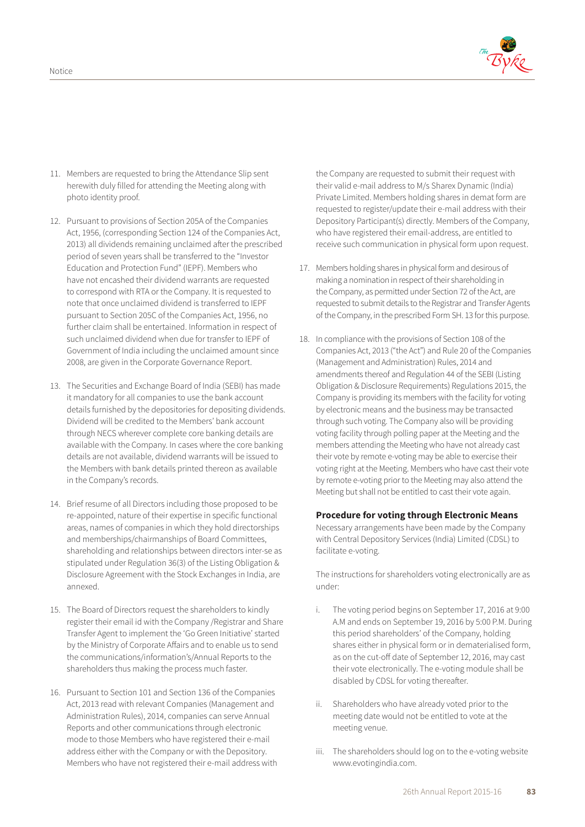

- 11. Members are requested to bring the Attendance Slip sent herewith duly filled for attending the Meeting along with photo identity proof.
- 12. Pursuant to provisions of Section 205A of the Companies Act, 1956, (corresponding Section 124 of the Companies Act, 2013) all dividends remaining unclaimed after the prescribed period of seven years shall be transferred to the "Investor Education and Protection Fund" (IEPF). Members who have not encashed their dividend warrants are requested to correspond with RTA or the Company. It is requested to note that once unclaimed dividend is transferred to IEPF pursuant to Section 205C of the Companies Act, 1956, no further claim shall be entertained. Information in respect of such unclaimed dividend when due for transfer to IEPF of Government of India including the unclaimed amount since 2008, are given in the Corporate Governance Report.
- 13. The Securities and Exchange Board of India (SEBI) has made it mandatory for all companies to use the bank account details furnished by the depositories for depositing dividends. Dividend will be credited to the Members' bank account through NECS wherever complete core banking details are available with the Company. In cases where the core banking details are not available, dividend warrants will be issued to the Members with bank details printed thereon as available in the Company's records.
- 14. Brief resume of all Directors including those proposed to be re-appointed, nature of their expertise in specific functional areas, names of companies in which they hold directorships and memberships/chairmanships of Board Committees, shareholding and relationships between directors inter-se as stipulated under Regulation 36(3) of the Listing Obligation & Disclosure Agreement with the Stock Exchanges in India, are annexed.
- 15. The Board of Directors request the shareholders to kindly register their email id with the Company /Registrar and Share Transfer Agent to implement the 'Go Green Initiative' started by the Ministry of Corporate Affairs and to enable us to send the communications/information's/Annual Reports to the shareholders thus making the process much faster.
- 16. Pursuant to Section 101 and Section 136 of the Companies Act, 2013 read with relevant Companies (Management and Administration Rules), 2014, companies can serve Annual Reports and other communications through electronic mode to those Members who have registered their e-mail address either with the Company or with the Depository. Members who have not registered their e-mail address with

the Company are requested to submit their request with their valid e-mail address to M/s Sharex Dynamic (India) Private Limited. Members holding shares in demat form are requested to register/update their e-mail address with their Depository Participant(s) directly. Members of the Company, who have registered their email-address, are entitled to receive such communication in physical form upon request.

- 17. Members holding shares in physical form and desirous of making a nomination in respect of their shareholding in the Company, as permitted under Section 72 of the Act, are requested to submit details to the Registrar and Transfer Agents of the Company, in the prescribed Form SH. 13 for this purpose.
- 18. In compliance with the provisions of Section 108 of the Companies Act, 2013 ("the Act") and Rule 20 of the Companies (Management and Administration) Rules, 2014 and amendments thereof and Regulation 44 of the SEBI (Listing Obligation & Disclosure Requirements) Regulations 2015, the Company is providing its members with the facility for voting by electronic means and the business may be transacted through such voting. The Company also will be providing voting facility through polling paper at the Meeting and the members attending the Meeting who have not already cast their vote by remote e-voting may be able to exercise their voting right at the Meeting. Members who have cast their vote by remote e-voting prior to the Meeting may also attend the Meeting but shall not be entitled to cast their vote again.

## **Procedure for voting through Electronic Means**

 Necessary arrangements have been made by the Company with Central Depository Services (India) Limited (CDSL) to facilitate e-voting.

 The instructions for shareholders voting electronically are as under:

- i. The voting period begins on September 17, 2016 at 9:00 A.M and ends on September 19, 2016 by 5:00 P.M. During this period shareholders' of the Company, holding shares either in physical form or in dematerialised form, as on the cut-off date of September 12, 2016, may cast their vote electronically. The e-voting module shall be disabled by CDSL for voting thereafter.
- ii. Shareholders who have already voted prior to the meeting date would not be entitled to vote at the meeting venue.
- iii. The shareholders should log on to the e-voting website www.evotingindia.com.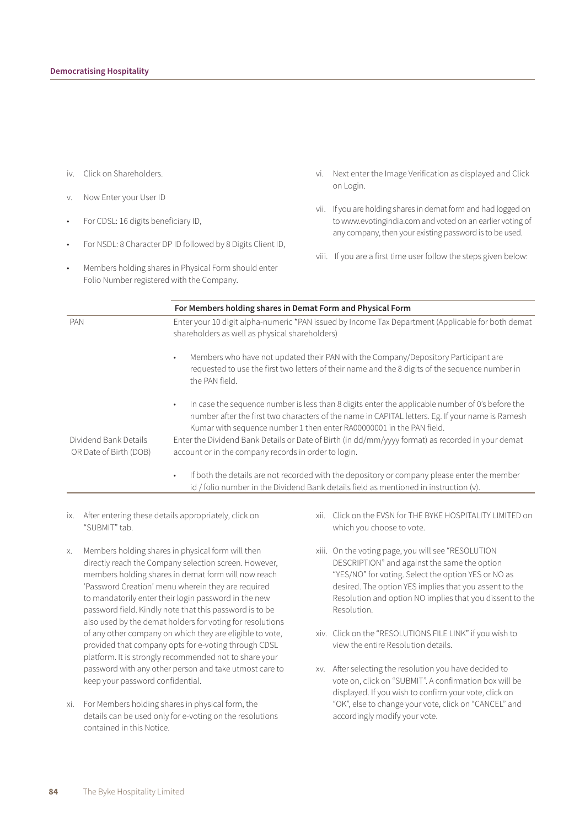- iv. Click on Shareholders.
- v. Now Enter your User ID
- For CDSL: 16 digits beneficiary ID,
- For NSDL: 8 Character DP ID followed by 8 Digits Client ID,
- Members holding shares in Physical Form should enter Folio Number registered with the Company.
- vi. Next enter the Image Verification as displayed and Click on Login.
- vii. If you are holding shares in demat form and had logged on to www.evotingindia.com and voted on an earlier voting of any company, then your existing password is to be used.
- viii. If you are a first time user follow the steps given below:

|                        | For Members holding shares in Demat Form and Physical Form                                                                                                                                                                                                                                                                                                                                    |
|------------------------|-----------------------------------------------------------------------------------------------------------------------------------------------------------------------------------------------------------------------------------------------------------------------------------------------------------------------------------------------------------------------------------------------|
| <b>PAN</b>             | Enter your 10 digit alpha-numeric *PAN issued by Income Tax Department (Applicable for both demat<br>shareholders as well as physical shareholders)                                                                                                                                                                                                                                           |
|                        | Members who have not updated their PAN with the Company/Depository Participant are<br>$\bullet$<br>requested to use the first two letters of their name and the 8 digits of the sequence number in<br>the PAN field.                                                                                                                                                                          |
| Dividend Bank Details  | In case the sequence number is less than 8 digits enter the applicable number of 0's before the<br>$\bullet$<br>number after the first two characters of the name in CAPITAL letters. Eg. If your name is Ramesh<br>Kumar with sequence number 1 then enter RA00000001 in the PAN field.<br>Enter the Dividend Bank Details or Date of Birth (in dd/mm/yyyy format) as recorded in your demat |
| OR Date of Birth (DOB) | account or in the company records in order to login.<br>If both the details are not recorded with the depository or company please enter the member<br>$\bullet$<br>id / folio number in the Dividend Bank details field as mentioned in instruction (v).                                                                                                                                     |

- ix. After entering these details appropriately, click on "SUBMIT" tab.
- x. Members holding shares in physical form will then directly reach the Company selection screen. However, members holding shares in demat form will now reach 'Password Creation' menu wherein they are required to mandatorily enter their login password in the new password field. Kindly note that this password is to be also used by the demat holders for voting for resolutions of any other company on which they are eligible to vote, provided that company opts for e-voting through CDSL platform. It is strongly recommended not to share your password with any other person and take utmost care to keep your password confidential.
- xi. For Members holding shares in physical form, the details can be used only for e-voting on the resolutions contained in this Notice.
- xii. Click on the EVSN for THE BYKE HOSPITALITY LIMITED on which you choose to vote.
- xiii. On the voting page, you will see "RESOLUTION DESCRIPTION" and against the same the option "YES/NO" for voting. Select the option YES or NO as desired. The option YES implies that you assent to the Resolution and option NO implies that you dissent to the Resolution.
- xiv. Click on the "RESOLUTIONS FILE LINK" if you wish to view the entire Resolution details.
- xv. After selecting the resolution you have decided to vote on, click on "SUBMIT". A confirmation box will be displayed. If you wish to confirm your vote, click on "OK", else to change your vote, click on "CANCEL" and accordingly modify your vote.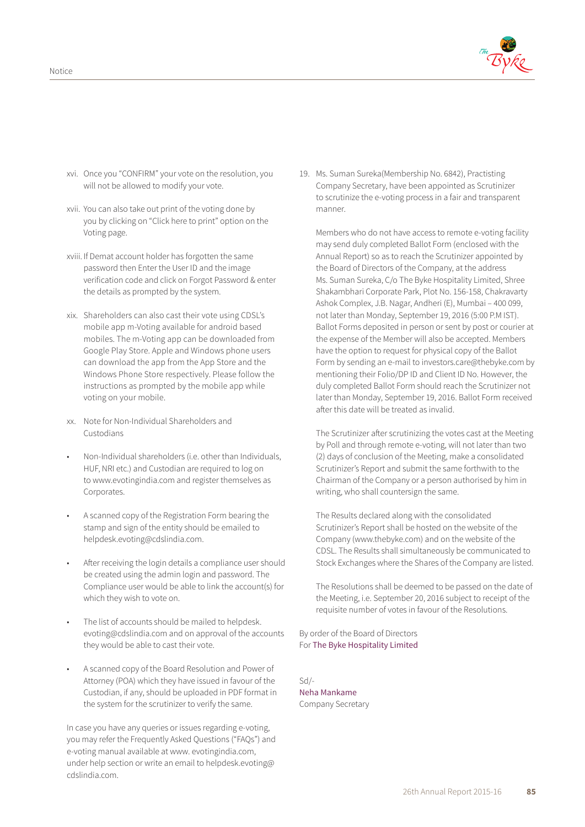

- xvi. Once you "CONFIRM" your vote on the resolution, you will not be allowed to modify your vote.
- xvii. You can also take out print of the voting done by you by clicking on "Click here to print" option on the Voting page.
- xviii. If Demat account holder has forgotten the same password then Enter the User ID and the image verification code and click on Forgot Password & enter the details as prompted by the system.
- xix. Shareholders can also cast their vote using CDSL's mobile app m-Voting available for android based mobiles. The m-Voting app can be downloaded from Google Play Store. Apple and Windows phone users can download the app from the App Store and the Windows Phone Store respectively. Please follow the instructions as prompted by the mobile app while voting on your mobile.
- xx. Note for Non-Individual Shareholders and Custodians
- Non-Individual shareholders (i.e. other than Individuals, HUF, NRI etc.) and Custodian are required to log on to www.evotingindia.com and register themselves as Corporates.
- A scanned copy of the Registration Form bearing the stamp and sign of the entity should be emailed to helpdesk.evoting@cdslindia.com.
- After receiving the login details a compliance user should be created using the admin login and password. The Compliance user would be able to link the account(s) for which they wish to vote on.
- The list of accounts should be mailed to helpdesk. evoting@cdslindia.com and on approval of the accounts they would be able to cast their vote.
- A scanned copy of the Board Resolution and Power of Attorney (POA) which they have issued in favour of the Custodian, if any, should be uploaded in PDF format in the system for the scrutinizer to verify the same.

 In case you have any queries or issues regarding e-voting, you may refer the Frequently Asked Questions ("FAQs") and e-voting manual available at www. evotingindia.com, under help section or write an email to helpdesk.evoting@ cdslindia.com.

19. Ms. Suman Sureka(Membership No. 6842), Practisting Company Secretary, have been appointed as Scrutinizer to scrutinize the e-voting process in a fair and transparent manner.

 Members who do not have access to remote e-voting facility may send duly completed Ballot Form (enclosed with the Annual Report) so as to reach the Scrutinizer appointed by the Board of Directors of the Company, at the address Ms. Suman Sureka, C/o The Byke Hospitality Limited, Shree Shakambhari Corporate Park, Plot No. 156-158, Chakravarty Ashok Complex, J.B. Nagar, Andheri (E), Mumbai – 400 099, not later than Monday, September 19, 2016 (5:00 P.M IST). Ballot Forms deposited in person or sent by post or courier at the expense of the Member will also be accepted. Members have the option to request for physical copy of the Ballot Form by sending an e-mail to investors.care@thebyke.com by mentioning their Folio/DP ID and Client ID No. However, the duly completed Ballot Form should reach the Scrutinizer not later than Monday, September 19, 2016. Ballot Form received after this date will be treated as invalid.

 The Scrutinizer after scrutinizing the votes cast at the Meeting by Poll and through remote e-voting, will not later than two (2) days of conclusion of the Meeting, make a consolidated Scrutinizer's Report and submit the same forthwith to the Chairman of the Company or a person authorised by him in writing, who shall countersign the same.

 The Results declared along with the consolidated Scrutinizer's Report shall be hosted on the website of the Company (www.thebyke.com) and on the website of the CDSL. The Results shall simultaneously be communicated to Stock Exchanges where the Shares of the Company are listed.

 The Resolutions shall be deemed to be passed on the date of the Meeting, i.e. September 20, 2016 subject to receipt of the requisite number of votes in favour of the Resolutions.

By order of the Board of Directors For The Byke Hospitality Limited

Sd/- Neha Mankame Company Secretary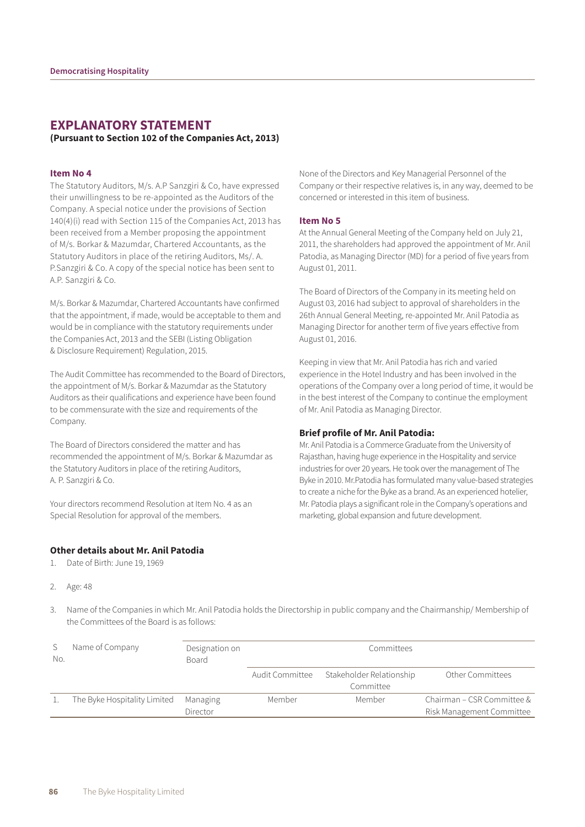# **EXPLANATORY STATEMENT (Pursuant to Section 102 of the Companies Act, 2013)**

#### **Item No 4**

The Statutory Auditors, M/s. A.P Sanzgiri & Co, have expressed their unwillingness to be re-appointed as the Auditors of the Company. A special notice under the provisions of Section 140(4)(i) read with Section 115 of the Companies Act, 2013 has been received from a Member proposing the appointment of M/s. Borkar & Mazumdar, Chartered Accountants, as the Statutory Auditors in place of the retiring Auditors, Ms/. A. P.Sanzgiri & Co. A copy of the special notice has been sent to A.P. Sanzgiri & Co.

M/s. Borkar & Mazumdar, Chartered Accountants have confirmed that the appointment, if made, would be acceptable to them and would be in compliance with the statutory requirements under the Companies Act, 2013 and the SEBI (Listing Obligation & Disclosure Requirement) Regulation, 2015.

The Audit Committee has recommended to the Board of Directors, the appointment of M/s. Borkar & Mazumdar as the Statutory Auditors as their qualifications and experience have been found to be commensurate with the size and requirements of the Company.

The Board of Directors considered the matter and has recommended the appointment of M/s. Borkar & Mazumdar as the Statutory Auditors in place of the retiring Auditors, A. P. Sanzgiri & Co.

Your directors recommend Resolution at Item No. 4 as an Special Resolution for approval of the members.

#### **Other details about Mr. Anil Patodia**

- 1. Date of Birth: June 19, 1969
- 2. Age: 48

None of the Directors and Key Managerial Personnel of the Company or their respective relatives is, in any way, deemed to be concerned or interested in this item of business.

#### **Item No 5**

At the Annual General Meeting of the Company held on July 21, 2011, the shareholders had approved the appointment of Mr. Anil Patodia, as Managing Director (MD) for a period of five years from August 01, 2011.

The Board of Directors of the Company in its meeting held on August 03, 2016 had subject to approval of shareholders in the 26th Annual General Meeting, re-appointed Mr. Anil Patodia as Managing Director for another term of five years effective from August 01, 2016.

Keeping in view that Mr. Anil Patodia has rich and varied experience in the Hotel Industry and has been involved in the operations of the Company over a long period of time, it would be in the best interest of the Company to continue the employment of Mr. Anil Patodia as Managing Director.

#### **Brief profile of Mr. Anil Patodia:**

Mr. Anil Patodia is a Commerce Graduate from the University of Rajasthan, having huge experience in the Hospitality and service industries for over 20 years. He took over the management of The Byke in 2010. Mr.Patodia has formulated many value-based strategies to create a niche for the Byke as a brand. As an experienced hotelier, Mr. Patodia plays a significant role in the Company's operations and marketing, global expansion and future development.

3. Name of the Companies in which Mr. Anil Patodia holds the Directorship in public company and the Chairmanship/ Membership of the Committees of the Board is as follows:

| No. | Name of Company              | Designation on<br>Board | Committees      |                                       |                                                         |
|-----|------------------------------|-------------------------|-----------------|---------------------------------------|---------------------------------------------------------|
|     |                              |                         | Audit Committee | Stakeholder Relationship<br>Committee | Other Committees                                        |
|     | The Byke Hospitality Limited | Managing<br>Director    | Member          | Member                                | Chairman – CSR Committee &<br>Risk Management Committee |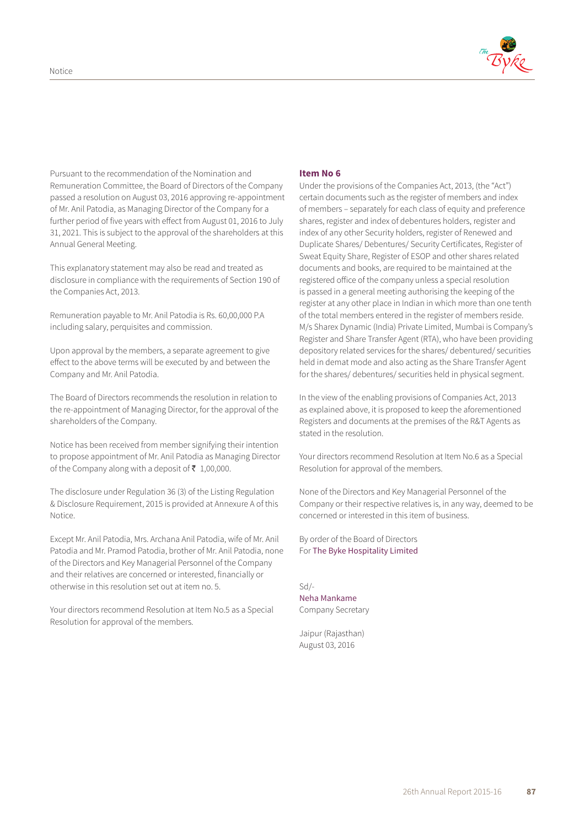

Pursuant to the recommendation of the Nomination and Remuneration Committee, the Board of Directors of the Company passed a resolution on August 03, 2016 approving re-appointment of Mr. Anil Patodia, as Managing Director of the Company for a further period of five years with effect from August 01, 2016 to July 31, 2021. This is subject to the approval of the shareholders at this Annual General Meeting.

This explanatory statement may also be read and treated as disclosure in compliance with the requirements of Section 190 of the Companies Act, 2013.

Remuneration payable to Mr. Anil Patodia is Rs. 60,00,000 P.A including salary, perquisites and commission.

Upon approval by the members, a separate agreement to give effect to the above terms will be executed by and between the Company and Mr. Anil Patodia.

The Board of Directors recommends the resolution in relation to the re-appointment of Managing Director, for the approval of the shareholders of the Company.

Notice has been received from member signifying their intention to propose appointment of Mr. Anil Patodia as Managing Director of the Company along with a deposit of  $\bar{\tau}$  1,00,000.

The disclosure under Regulation 36 (3) of the Listing Regulation & Disclosure Requirement, 2015 is provided at Annexure A of this Notice.

Except Mr. Anil Patodia, Mrs. Archana Anil Patodia, wife of Mr. Anil Patodia and Mr. Pramod Patodia, brother of Mr. Anil Patodia, none of the Directors and Key Managerial Personnel of the Company and their relatives are concerned or interested, financially or otherwise in this resolution set out at item no. 5.

Your directors recommend Resolution at Item No.5 as a Special Resolution for approval of the members.

#### **Item No 6**

Under the provisions of the Companies Act, 2013, (the "Act") certain documents such as the register of members and index of members – separately for each class of equity and preference shares, register and index of debentures holders, register and index of any other Security holders, register of Renewed and Duplicate Shares/ Debentures/ Security Certificates, Register of Sweat Equity Share, Register of ESOP and other shares related documents and books, are required to be maintained at the registered office of the company unless a special resolution is passed in a general meeting authorising the keeping of the register at any other place in Indian in which more than one tenth of the total members entered in the register of members reside. M/s Sharex Dynamic (India) Private Limited, Mumbai is Company's Register and Share Transfer Agent (RTA), who have been providing depository related services for the shares/ debentured/ securities held in demat mode and also acting as the Share Transfer Agent for the shares/ debentures/ securities held in physical segment.

In the view of the enabling provisions of Companies Act, 2013 as explained above, it is proposed to keep the aforementioned Registers and documents at the premises of the R&T Agents as stated in the resolution.

Your directors recommend Resolution at Item No.6 as a Special Resolution for approval of the members.

None of the Directors and Key Managerial Personnel of the Company or their respective relatives is, in any way, deemed to be concerned or interested in this item of business.

By order of the Board of Directors For The Byke Hospitality Limited

Sd/- Neha Mankame Company Secretary

Jaipur (Rajasthan) August 03, 2016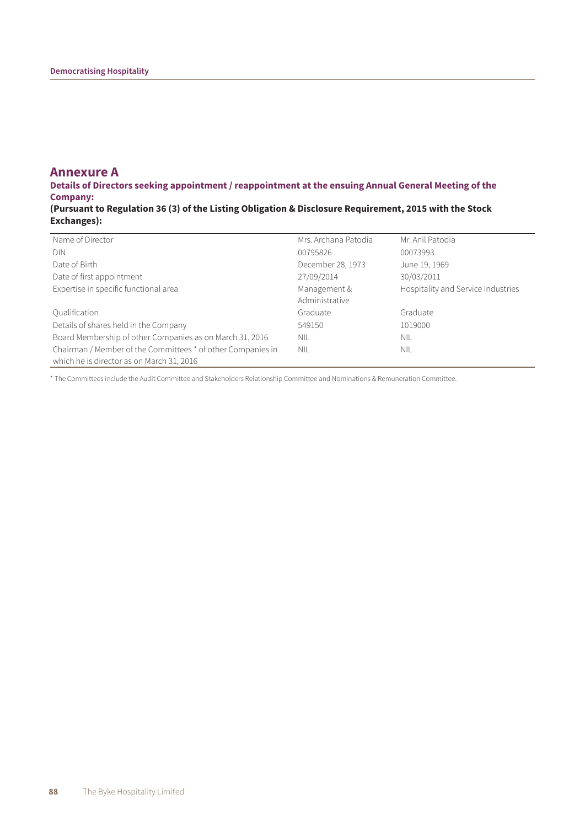# **Annexure A**

**Details of Directors seeking appointment / reappointment at the ensuing Annual General Meeting of the Company:**

**(Pursuant to Regulation 36 (3) of the Listing Obligation & Disclosure Requirement, 2015 with the Stock Exchanges):**

| Name of Director                                            | Mrs. Archana Patodia | Mr. Anil Patodia                   |
|-------------------------------------------------------------|----------------------|------------------------------------|
| <b>DIN</b>                                                  | 00795826             | 00073993                           |
| Date of Birth                                               | December 28, 1973    | June 19, 1969                      |
| Date of first appointment                                   | 27/09/2014           | 30/03/2011                         |
| Expertise in specific functional area                       | Management &         | Hospitality and Service Industries |
|                                                             | Administrative       |                                    |
| Qualification                                               | Graduate             | Graduate                           |
| Details of shares held in the Company                       | 549150               | 1019000                            |
| Board Membership of other Companies as on March 31, 2016    | NIL                  | <b>NIL</b>                         |
| Chairman / Member of the Committees * of other Companies in | NIL                  | <b>NIL</b>                         |
| which he is director as on March 31, 2016                   |                      |                                    |

\* The Committees include the Audit Committee and Stakeholders Relationship Committee and Nominations & Remuneration Committee.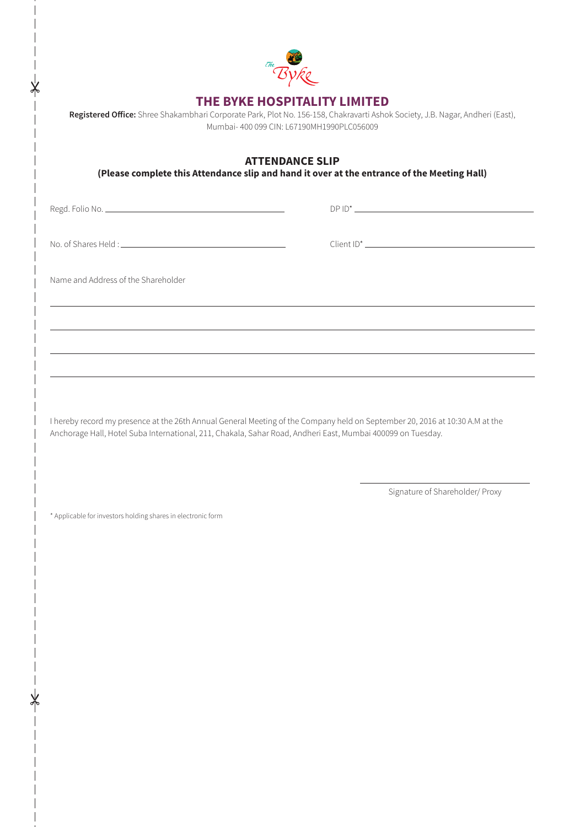

# **THE BYKE HOSPITALITY LIMITED**

**Registered Office:** Shree Shakambhari Corporate Park, Plot No. 156-158, Chakravarti Ashok Society, J.B. Nagar, Andheri (East), Mumbai- 400 099 CIN: L67190MH1990PLC056009

**ATTENDANCE SLIP**

**(Please complete this Attendance slip and hand it over at the entrance of the Meeting Hall)**

Regd. Folio No. DP ID\*

No. of Shares Held : Client ID\*

Name and Address of the Shareholder

I hereby record my presence at the 26th Annual General Meeting of the Company held on September 20, 2016 at 10:30 A.M at the Anchorage Hall, Hotel Suba International, 211, Chakala, Sahar Road, Andheri East, Mumbai 400099 on Tuesday.

Signature of Shareholder/ Proxy

\* Applicable for investors holding shares in electronic form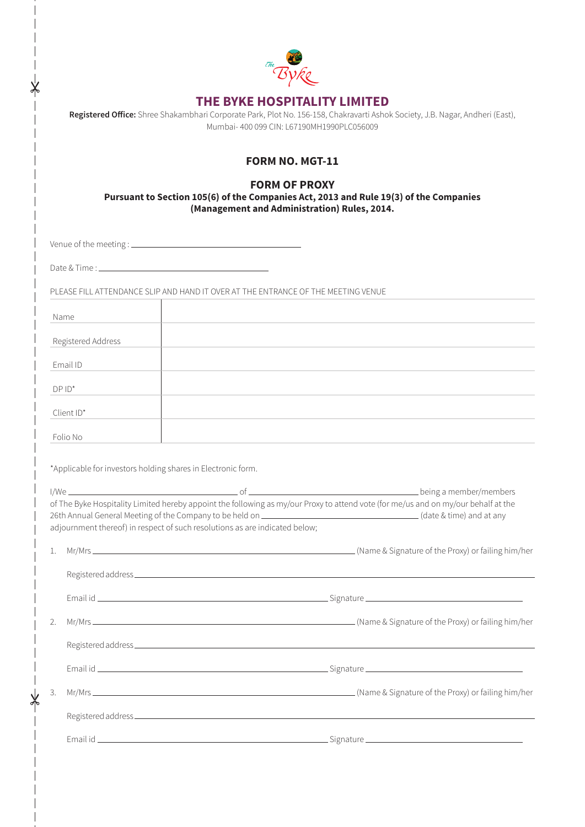| The |  |
|-----|--|
|     |  |

# **THE BYKE HOSPITALITY LIMITED**

| Registered Office: Shree Shakambhari Corporate Park, Plot No. 156-158, Chakravarti Ashok Society, J.B. Nagar, Andheri (East), |
|-------------------------------------------------------------------------------------------------------------------------------|
| Mumbai- 400 099 CIN: L67190MH1990PLC056009                                                                                    |

# **FORM NO. MGT-11**

# **FORM OF PROXY**

**Pursuant to Section 105(6) of the Companies Act, 2013 and Rule 19(3) of the Companies (Management and Administration) Rules, 2014.**

Venue of the meeting :

Date & Time :

PLEASE FILL ATTENDANCE SLIP AND HAND IT OVER AT THE ENTRANCE OF THE MEETING VENUE

| Name               |  |  |
|--------------------|--|--|
| Registered Address |  |  |
|                    |  |  |
| Email ID           |  |  |
| $DPID^*$           |  |  |
| Client ID*         |  |  |
| Folio No           |  |  |

\*Applicable for investors holding shares in Electronic form.

|    | of The Byke Hospitality Limited hereby appoint the following as my/our Proxy to attend vote (for me/us and on my/our behalf at the<br>adjournment thereof) in respect of such resolutions as are indicated below; |  |
|----|-------------------------------------------------------------------------------------------------------------------------------------------------------------------------------------------------------------------|--|
|    |                                                                                                                                                                                                                   |  |
|    |                                                                                                                                                                                                                   |  |
|    |                                                                                                                                                                                                                   |  |
| 2. |                                                                                                                                                                                                                   |  |
|    |                                                                                                                                                                                                                   |  |
|    |                                                                                                                                                                                                                   |  |
| 3. |                                                                                                                                                                                                                   |  |

Registered address.

Email id Signature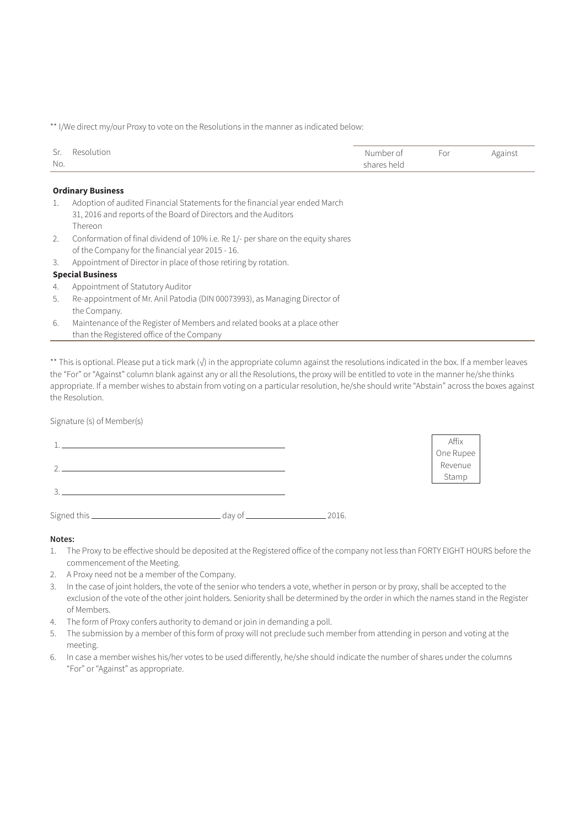\*\* I/We direct my/our Proxy to vote on the Resolutions in the manner as indicated below:

| Sr. Resolution | Number of   | For | Against |
|----------------|-------------|-----|---------|
| No.            | shares held |     |         |

#### **Ordinary Business**

- 1. Adoption of audited Financial Statements for the financial year ended March 31, 2016 and reports of the Board of Directors and the Auditors Thereon
- 2. Conformation of final dividend of 10% i.e. Re 1/- per share on the equity shares of the Company for the financial year 2015 - 16.
- 3. Appointment of Director in place of those retiring by rotation.

# **Special Business**

- 4. Appointment of Statutory Auditor
- 5. Re-appointment of Mr. Anil Patodia (DIN 00073993), as Managing Director of the Company.
- 6. Maintenance of the Register of Members and related books at a place other than the Registered office of the Company

\*\* This is optional. Please put a tick mark (√) in the appropriate column against the resolutions indicated in the box. If a member leaves the "For" or "Against" column blank against any or all the Resolutions, the proxy will be entitled to vote in the manner he/she thinks appropriate. If a member wishes to abstain from voting on a particular resolution, he/she should write "Abstain" across the boxes against the Resolution.

Signature (s) of Member(s)

|        | Affix                |
|--------|----------------------|
|        | One Rupee<br>Revenue |
| $\sim$ |                      |
|        | Stamp                |
| $\sim$ |                      |
|        |                      |

Signed this day of 2016.

#### **Notes:**

- 1. The Proxy to be effective should be deposited at the Registered office of the company not less than FORTY EIGHT HOURS before the commencement of the Meeting.
- 2. A Proxy need not be a member of the Company.
- 3. In the case of joint holders, the vote of the senior who tenders a vote, whether in person or by proxy, shall be accepted to the exclusion of the vote of the other joint holders. Seniority shall be determined by the order in which the names stand in the Register of Members.
- 4. The form of Proxy confers authority to demand or join in demanding a poll.
- 5. The submission by a member of this form of proxy will not preclude such member from attending in person and voting at the meeting.
- 6. In case a member wishes his/her votes to be used differently, he/she should indicate the number of shares under the columns "For" or "Against" as appropriate.